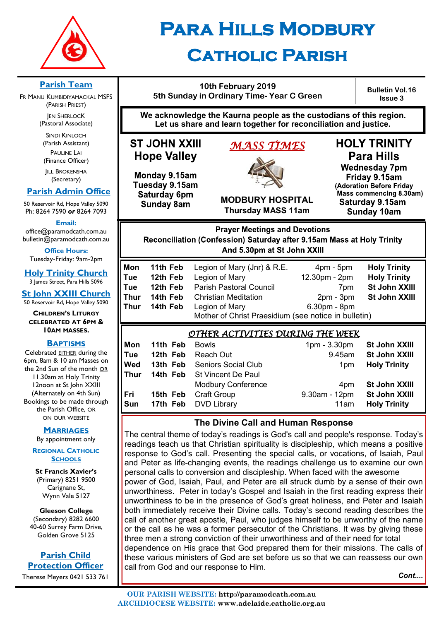

# **Para Hills Modbury Catholic Parish**

#### **10th February 2019 5th Sunday in Ordinary Time- Year C Green**

**Bulletin Vol.16 Issue 3**

**We acknowledge the Kaurna people as the custodians of this region. Let us share and learn together for reconciliation and justice.**

## **ST JOHN XXIII Hope Valley**

Monday 9.15am Tuesday 9.15am Saturday 6pm **Sunday 8am** 

## *MASS TIMES*



**Thursday MASS 11am**

**Para Hills Wednesday 7pm** Friday 9.15am (Adoration Before Friday Mass commencing 8.30am) Saturday 9.15am

**HOLY TRINITY** 

**Sunday 10am** 

**Prayer Meetings and Devotions** Reconciliation (Confession) Saturday after 9.15am Mass at Holy Trinity And 5.30pm at St John XXIII

| Mon  | 11th Feb | Legion of Mary (Jnr) & R.E.                          | $4pm - 5pm$     | <b>Holy Trinity</b> |  |
|------|----------|------------------------------------------------------|-----------------|---------------------|--|
| Tue  | 12th Feb | Legion of Mary                                       | 12.30pm - 2pm   | <b>Holy Trinity</b> |  |
| Tue  | 12th Feb | Parish Pastoral Council                              | 7 <sub>pm</sub> | St John XXIII       |  |
| Thur | 14th Feb | <b>Christian Meditation</b>                          | $2pm - 3pm$     | St John XXIII       |  |
| Thur | 14th Feb | Legion of Mary                                       | $6.30pm - 8pm$  |                     |  |
|      |          | Mother of Christ Praesidium (see notice in bulletin) |                 |                     |  |

| OTHER ACTIVITIES DUNING THE WEEK |          |                                     |                 |                      |  |  |
|----------------------------------|----------|-------------------------------------|-----------------|----------------------|--|--|
| Mon                              | 11th Feb | <b>Bowls</b>                        | $1pm - 3.30pm$  | St John XXIII        |  |  |
| Tue                              |          | <b>12th Feb</b> Reach Out           | 9.45am          | <b>St John XXIII</b> |  |  |
| <b>Wed</b>                       |          | <b>13th Feb</b> Seniors Social Club | 1 <sub>pm</sub> | <b>Holy Trinity</b>  |  |  |
| <b>Thur</b>                      |          | <b>14th Feb</b> St Vincent De Paul  |                 |                      |  |  |
|                                  |          | <b>Modbury Conference</b>           | 4pm             | St John XXIII        |  |  |
| l Fri                            | 15th Feb | Craft Group                         | 9.30am - 12pm   | <b>St John XXIII</b> |  |  |
| <b>Sun</b>                       |          | <b>17th Feb</b> DVD Library         | 11am            | <b>Holy Trinity</b>  |  |  |
|                                  |          |                                     |                 |                      |  |  |

#### **The Divine Call and Human Response**

The central theme of today's readings is God's call and people's response. Today's readings teach us that Christian spirituality is discipleship, which means a positive response to God's call. Presenting the special calls, or vocations, of Isaiah, Paul and Peter as life-changing events, the readings challenge us to examine our own personal calls to conversion and discipleship. When faced with the awesome power of God, Isaiah, Paul, and Peter are all struck dumb by a sense of their own unworthiness. Peter in today's Gospel and Isaiah in the first reading express their unworthiness to be in the presence of God's great holiness, and Peter and Isaiah both immediately receive their Divine calls. Today's second reading describes the call of another great apostle, Paul, who judges himself to be unworthy of the name or the call as he was a former persecutor of the Christians. It was by giving these three men a strong conviction of their unworthiness and of their need for total dependence on His grace that God prepared them for their missions. The calls of these various ministers of God are set before us so that we can reassess our own call from God and our response to Him.

*Cont....*



**OUR PARISH WEBSITE: http://paramodcath.com.au ARCHDIOCESE WEBSITE: www.adelaide.catholic.org.au**

#### **Parish Team**

FR MANU KUMBIDIYAMACKAL MSFS (PARISH PRIEST) **JEN SHERLOCK** 

(Pastoral Associate)

SINDI KINLOCH (Parish Assistant) PAULINE LAI (Finance Officer)

**IILL BROKENSHA** (Secretary)

#### **Parish Admin Office**

50 Reservoir Rd, Hope Valley 5090 Ph: 8264 7590 *or* 8264 7093

**Email:** 

office@paramodcath.com.au bulletin@paramodcath.com.au

**Office Hours:**  Tuesday-Friday: 9am-2pm

**Holy Trinity Church** 3 James Street, Para Hills 5096

**St John XXIII Church**

50 Reservoir Rd, Hope Valley 5090 **CHILDREN'S LITURGY**

#### **CELEBRATED AT 6PM & 10AM MASSES.**

#### **BAPTISMS**

Celebrated EITHER during the 6pm, 8am & 10 am Masses on the 2nd Sun of the month OR 11.30am at Holy Trinity 12noon at St John XXIII (Alternately on 4th Sun) Bookings to be made through the Parish Office, OR ON OUR WEBSITE

#### **MARRIAGES**

By appointment only

#### **REGIONAL CATHOLIC SCHOOLS**

**St Francis Xavier's**  (Primary) 8251 9500 Carignane St, Wynn Vale 5127

**Gleeson College**  (Secondary) 8282 6600 40-60 Surrey Farm Drive, Golden Grove 5125

**Parish Child Protection Officer** Therese Meyers 0421 533 761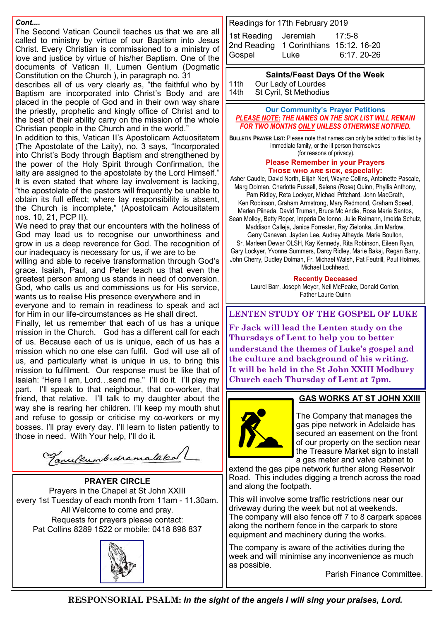*Cont....*

The Second Vatican Council teaches us that we are all called to ministry by virtue of our Baptism into Jesus Christ. Every Christian is commissioned to a ministry of love and justice by virtue of his/her Baptism. One of the documents of Vatican II, Lumen Gentium (Dogmatic Constitution on the Church ), in paragraph no. 31

describes all of us very clearly as, "the faithful who by Baptism are incorporated into Christ's Body and are placed in the people of God and in their own way share the priestly, prophetic and kingly office of Christ and to the best of their ability carry on the mission of the whole Christian people in the Church and in the world."

In addition to this, Vatican II's Apostolicam Actuositatem (The Apostolate of the Laity), no. 3 says, "Incorporated into Christ's Body through Baptism and strengthened by the power of the Holy Spirit through Confirmation, the laity are assigned to the apostolate by the Lord Himself." It is even stated that where lay involvement is lacking, "the apostolate of the pastors will frequently be unable to obtain its full effect; where lay responsibility is absent, the Church is incomplete," (Apostolicam Actousitatem nos. 10, 21, PCP II).

We need to pray that our encounters with the holiness of God may lead us to recognise our unworthiness and grow in us a deep reverence for God. The recognition of our inadequacy is necessary for us, if we are to be willing and able to receive transformation through God's grace. Isaiah, Paul, and Peter teach us that even the greatest person among us stands in need of conversion. God, who calls us and commissions us for His service,

wants us to realise His presence everywhere and in everyone and to remain in readiness to speak and act

for Him in our life-circumstances as He shall direct.

Finally, let us remember that each of us has a unique mission in the Church. God has a different call for each of us. Because each of us is unique, each of us has a mission which no one else can fulfil. God will use all of us, and particularly what is unique in us, to bring this mission to fulfilment. Our response must be like that of Isaiah: "Here I am, Lord…send me." I'll do it. I'll play my part. I'll speak to that neighbour, that co-worker, that friend, that relative. I'll talk to my daughter about the way she is rearing her children. I'll keep my mouth shut and refuse to gossip or criticise my co-workers or my bosses. I'll pray every day. I'll learn to listen patiently to those in need. With Your help, I'll do it.

Tanulumbedramatakal

**PRAYER CIRCLE** Prayers in the Chapel at St John XXIII every 1st Tuesday of each month from 11am - 11.30am. All Welcome to come and pray. Requests for prayers please contact: Pat Collins 8289 1522 or mobile: 0418 898 837



Readings for 17th February 2019

1st Reading [Jeremiah 17:5](javascript:expandDetail(%22reading%22,%22FR%22,%22N04ORSUC%22,%20%22right_content_middle%22,%22%22);)-8 2nd Reading 1 [Corinthians 15:12. 16](javascript:expandDetail(%22reading%22,%22SR%22,%22N04ORSUC%22,%20%22right_content_middle%22,%22%22);)-20 Gospel Luke 6:17. 20-26

#### **Saints/Feast Days Of the Week**

11th Our Lady of Lourdes<br>14th St Cyril, St Methodius St Cyril, St Methodius

#### **Our Community's Prayer Petitions**  *PLEASE NOTE: THE NAMES ON THE SICK LIST WILL REMAIN FOR TWO MONTHS ONLY UNLESS OTHERWISE NOTIFIED.*

**BULLETIN PRAYER LIST:** Please note that names can only be added to this list by immediate family, or the ill person themselves (for reasons of privacy).

#### **Please Remember in your Prayers Those who are sick, especially:**

Asher Caudle, David North, Elijah Neri, Wayne Collins, Antoinette Pascale, Marg Dolman, Charlotte Fussell, Selena (Rose) Quinn, Phyllis Anthony, Pam Ridley, Reta Lockyer, Michael Pritchard, John MacGrath, Ken Robinson, Graham Armstrong, Mary Redmond, Graham Speed, Marlen Piineda, David Truman, Bruce Mc Andie, Rosa Maria Santos, Sean Molloy, Betty Roper, Imperia De Ionno, Julie Reimann, Imelda Schulz, Maddison Calleja, Janice Forrester, Ray Zielonka, Jim Marlow, Gerry Canavan, Jayden Lee, Audrey Athayde, Marie Boulton, Sr. Marleen Dewar OLSH, Kay Kennedy, Rita Robinson, Eileen Ryan, Gary Lockyer, Yvonne Summers, Darcy Ridley, Marie Bakaj, Regan Barry,

John Cherry, Dudley Dolman, Fr. Michael Walsh, Pat Feutrill, Paul Holmes, Michael Lochhead.

**Recently Deceased**

Laurel Barr, Joseph Meyer, Neil McPeake, Donald Conlon, Father Laurie Quinn

#### **LENTEN STUDY OF THE GOSPEL OF LUKE**

**Fr Jack will lead the Lenten study on the Thursdays of Lent to help you to better understand the themes of Luke's gospel and the culture and background of his writing. It will be held in the St John XXIII Modbury Church each Thursday of Lent at 7pm.**



#### **GAS WORKS AT ST JOHN XXIII**

The Company that manages the gas pipe network in Adelaide has secured an easement on the front of our property on the section near the Treasure Market sign to install a gas meter and valve cabinet to

extend the gas pipe network further along Reservoir Road. This includes digging a trench across the road and along the footpath.

This will involve some traffic restrictions near our driveway during the week but not at weekends. The company will also fence off 7 to 8 carpark spaces along the northern fence in the carpark to store equipment and machinery during the works.

The company is aware of the activities during the week and will minimise any inconvenience as much as possible.

Parish Finance Committee.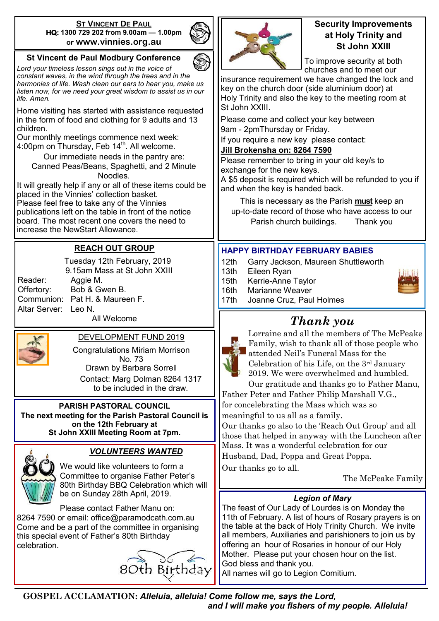#### **ST VINCENT DE PAUL HQ: 1300 729 202 from 9.00am — 1.00pm or www.vinnies.org.au**

#### **St Vincent de Paul Modbury Conference**

*Lord your timeless lesson sings out in the voice of constant waves, in the wind through the trees and in the harmonies of life. Wash clean our ears to hear you, make us listen now, for we need your great wisdom to assist us in our life. Amen.*

Home visiting has started with assistance requested in the form of food and clothing for 9 adults and 13 children.

Our monthly meetings commence next week: 4:00pm on Thursday, Feb  $14<sup>th</sup>$ . All welcome.

Our immediate needs in the pantry are: Canned Peas/Beans, Spaghetti, and 2 Minute Noodles.

It will greatly help if any or all of these items could be placed in the Vinnies' collection basket.

Please feel free to take any of the Vinnies publications left on the table in front of the notice board. The most recent one covers the need to increase the NewStart Allowance.

#### **REACH OUT GROUP**

Reader: Aggie M. Altar Server: Leo N.

 Tuesday 12th February, 2019 9.15am Mass at St John XXIII Offertory: Bob & Gwen B. Communion: Pat H. & Maureen F. All Welcome

#### DEVELOPMENT FUND 2019

Congratulations Miriam Morrison No. 73 Drawn by Barbara Sorrell Contact: Marg Dolman 8264 1317 to be included in the draw.

**PARISH PASTORAL COUNCIL The next meeting for the Parish Pastoral Council is on the 12th February at St John XXIII Meeting Room at 7pm.**



#### *VOLUNTEERS WANTED*

We would like volunteers to form a Committee to organise Father Peter's 80th Birthday BBQ Celebration which will be on Sunday 28th April, 2019.

Please contact Father Manu on: 8264 7590 or email: office@paramodcath.com.au Come and be a part of the committee in organising this special event of Father's 80th Birthday celebration.





#### **Security Improvements at Holy Trinity and St John XXIII**

To improve security at both churches and to meet our

insurance requirement we have changed the lock and key on the church door (side aluminium door) at Holy Trinity and also the key to the meeting room at St John XXIII.

Please come and collect your key between 9am - 2pmThursday or Friday.

If you require a new key please contact:

#### **Jill Brokensha on: 8264 7590**

Please remember to bring in your old key/s to exchange for the new keys.

A \$5 deposit is required which will be refunded to you if and when the key is handed back.

This is necessary as the Parish **must** keep an up-to-date record of those who have access to our Parish church buildings. Thank you

#### **HAPPY BIRTHDAY FEBRUARY BABIES**

- 12th Garry Jackson, Maureen Shuttleworth
- 13th Eileen Ryan
- 15th Kerrie-Anne Taylor
- 16th Marianne Weaver



## *Thank you*



Lorraine and all the members of The McPeake Family, wish to thank all of those people who attended Neil's Funeral Mass for the Celebration of his Life, on the 3rd January 2019. We were overwhelmed and humbled. Our gratitude and thanks go to Father Manu,

Father Peter and Father Philip Marshall V.G., for concelebrating the Mass which was so meaningful to us all as a family.

Our thanks go also to the 'Reach Out Group' and all those that helped in anyway with the Luncheon after Mass. It was a wonderful celebration for our Husband, Dad, Poppa and Great Poppa. Our thanks go to all.

The McPeake Family

#### *Legion of Mary*

The feast of Our Lady of Lourdes is on Monday the 11th of February. A list of hours of Rosary prayers is on the table at the back of Holy Trinity Church. We invite all members, Auxiliaries and parishioners to join us by offering an hour of Rosaries in honour of our Holy Mother. Please put your chosen hour on the list. God bless and thank you.

All names will go to Legion Comitium.